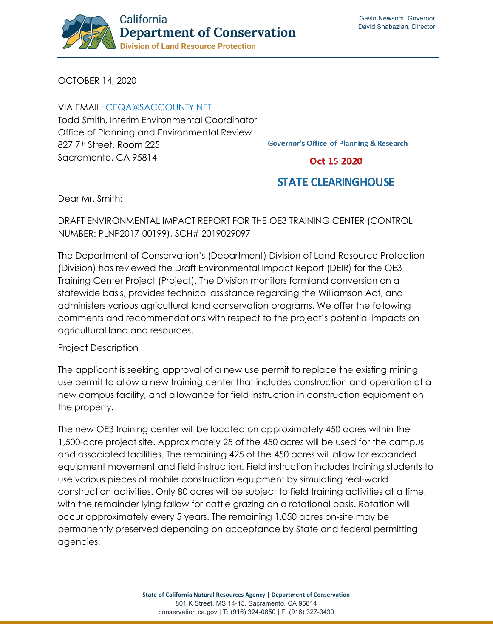

OCTOBER 14, 2020

VIA EMAIL: [CEQA@SACCOUNTY.NET](mailto:ceqa@saccounty.net) Todd Smith, Interim Environmental Coordinator Office of Planning and Environmental Review 827 7<sup>th</sup> Street, Room 225 Sacramento, CA 95814

**Governor's Office of Planning & Research** 

Oct 15 2020

## **STATE CLEARINGHOUSE**

Dear Mr. Smith:

DRAFT ENVIRONMENTAL IMPACT REPORT FOR THE OE3 TRAINING CENTER (CONTROL NUMBER: PLNP2017-00199), SCH# 2019029097

The Department of Conservation's (Department) Division of Land Resource Protection (Division) has reviewed the Draft Environmental Impact Report (DEIR) for the OE3 Training Center Project (Project). The Division monitors farmland conversion on a statewide basis, provides technical assistance regarding the Williamson Act, and administers various agricultural land conservation programs. We offer the following comments and recommendations with respect to the project's potential impacts on agricultural land and resources.

## Project Description

The applicant is seeking approval of a new use permit to replace the existing mining use permit to allow a new training center that includes construction and operation of a new campus facility, and allowance for field instruction in construction equipment on the property.

The new OE3 training center will be located on approximately 450 acres within the 1,500-acre project site. Approximately 25 of the 450 acres will be used for the campus and associated facilities. The remaining 425 of the 450 acres will allow for expanded equipment movement and field instruction. Field instruction includes training students to use various pieces of mobile construction equipment by simulating real-world construction activities. Only 80 acres will be subject to field training activities at a time, with the remainder lying fallow for cattle grazing on a rotational basis. Rotation will occur approximately every 5 years. The remaining 1,050 acres on-site may be permanently preserved depending on acceptance by State and federal permitting agencies.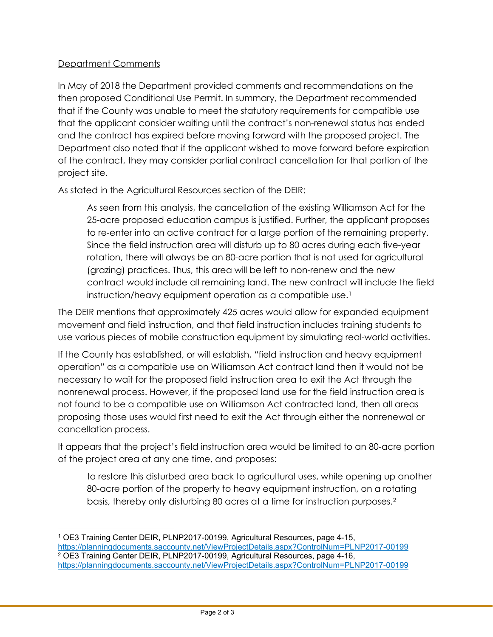## Department Comments

In May of 2018 the Department provided comments and recommendations on the then proposed Conditional Use Permit. In summary, the Department recommended that if the County was unable to meet the statutory requirements for compatible use that the applicant consider waiting until the contract's non-renewal status has ended and the contract has expired before moving forward with the proposed project. The Department also noted that if the applicant wished to move forward before expiration of the contract, they may consider partial contract cancellation for that portion of the project site.

As stated in the Agricultural Resources section of the DEIR:

As seen from this analysis, the cancellation of the existing Williamson Act for the 25-acre proposed education campus is justified. Further, the applicant proposes to re-enter into an active contract for a large portion of the remaining property. Since the field instruction area will disturb up to 80 acres during each five-year rotation, there will always be an 80-acre portion that is not used for agricultural (grazing) practices. Thus, this area will be left to non-renew and the new contract would include all remaining land. The new contract will include the field instruction/heavy equipment operation as a compatible use.<sup>[1](#page-1-0)</sup>

The DEIR mentions that approximately 425 acres would allow for expanded equipment movement and field instruction, and that field instruction includes training students to use various pieces of mobile construction equipment by simulating real-world activities.

If the County has established, or will establish, "field instruction and heavy equipment operation" as a compatible use on Williamson Act contract land then it would not be necessary to wait for the proposed field instruction area to exit the Act through the nonrenewal process. However, if the proposed land use for the field instruction area is not found to be a compatible use on Williamson Act contracted land, then all areas proposing those uses would first need to exit the Act through either the nonrenewal or cancellation process.

It appears that the project's field instruction area would be limited to an 80-acre portion of the project area at any one time, and proposes:

to restore this disturbed area back to agricultural uses, while opening up another 80-acre portion of the property to heavy equipment instruction, on a rotating basis, thereby only disturbing 80 acres at a time for instruction purposes.[2](#page-1-1)

<span id="page-1-1"></span><span id="page-1-0"></span><sup>1</sup> OE3 Training Center DEIR, PLNP2017-00199, Agricultural Resources, page 4-15, <https://planningdocuments.saccounty.net/ViewProjectDetails.aspx?ControlNum=PLNP2017-00199> <sup>2</sup> OE3 Training Center DEIR, PLNP2017-00199, Agricultural Resources, page 4-16, <https://planningdocuments.saccounty.net/ViewProjectDetails.aspx?ControlNum=PLNP2017-00199>